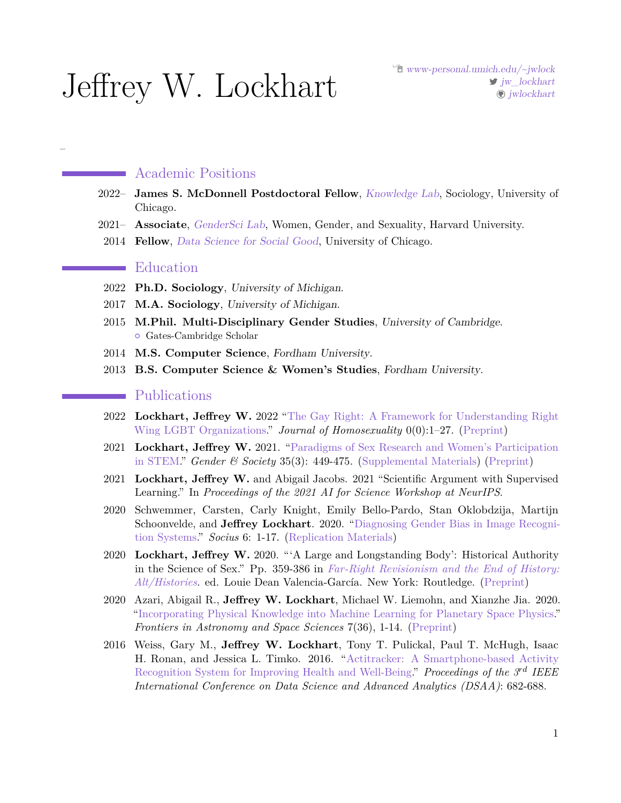# Jeffrey W. Lockhart

# Academic Positions

- 2022– **James S. McDonnell Postdoctoral Fellow**, [Knowledge Lab](https://www.knowledgelab.org), Sociology, University of Chicago.
- 2021– **Associate**, [GenderSci Lab](https://www.genderscilab.org), Women, Gender, and Sexuality, Harvard University.
- 2014 **Fellow**, [Data Science for Social Good](https://www.datascienceforsocialgood.org), University of Chicago.

#### Education  $\sim 10^{11}$  km s  $^{-1}$

–

- 2022 **Ph.D. Sociology**, University of Michigan.
- 2017 **M.A. Sociology**, University of Michigan.
- 2015 **M.Phil. Multi-Disciplinary Gender Studies**, University of Cambridge. **•** Gates-Cambridge Scholar
- 2014 **M.S. Computer Science**, Fordham University.
- 2013 **B.S. Computer Science & Women's Studies**, Fordham University.

## Publications

- 2022 **Lockhart, Jeffrey W.** 2022 ["The Gay Right: A Framework for Understanding Right](https://doi.org/10.1080/00918369.2022.2086749) [Wing LGBT Organizations."](https://doi.org/10.1080/00918369.2022.2086749) *Journal of Homosexuality* 0(0):1–27. [\(Preprint\)](http://www-personal.umich.edu/~jwlock/gay_right_preprint.pdf)
- 2021 **Lockhart, Jeffrey W.** 2021. ["Paradigms of Sex Research and Women's Participation](https://journals.sagepub.com/doi/10.1177/08912432211001384) [in STEM.](https://journals.sagepub.com/doi/10.1177/08912432211001384)" *Gender & Society* 35(3): 449-475. [\(Supplemental Materials\)](https://osf.io/4jmuw/) [\(Preprint\)](https://osf.io/preprints/socarxiv/zajyg)
- 2021 **Lockhart, Jeffrey W.** and Abigail Jacobs. 2021 "Scientific Argument with Supervised Learning." In *Proceedings of the 2021 AI for Science Workshop at NeurIPS*.
- 2020 Schwemmer, Carsten, Carly Knight, Emily Bello-Pardo, Stan Oklobdzija, Martijn Schoonvelde, and **Jeffrey Lockhart**. 2020. ["Diagnosing Gender Bias in Image Recogni](https://journals.sagepub.com/doi/full/10.1177/2378023120967171)[tion Systems.](https://journals.sagepub.com/doi/full/10.1177/2378023120967171)" *Socius* 6: 1-17. [\(Replication Materials\)](https://dataverse.harvard.edu/dataset.xhtml?persistentId=doi:10.7910/DVN/2CEYWV&version=DRAFT&faces-redirect=true)
- 2020 **Lockhart, Jeffrey W.** 2020. "'A Large and Longstanding Body': Historical Authority in the Science of Sex." Pp. 359-386 in *[Far-Right Revisionism and the End of History:](https://www.routledge.com/Far-Right-Revisionism-and-the-End-of-History-Alt-Histories/Valencia-Garcia/p/book/9780367460082) [Alt/Histories](https://www.routledge.com/Far-Right-Revisionism-and-the-End-of-History-Alt-Histories/Valencia-Garcia/p/book/9780367460082)*. ed. Louie Dean Valencia-García. New York: Routledge. [\(Preprint\)](https://osf.io/preprints/socarxiv/dvg2m)
- 2020 Azari, Abigail R., **Jeffrey W. Lockhart**, Michael W. Liemohn, and Xianzhe Jia. 2020. ["Incorporating Physical Knowledge into Machine Learning for Planetary Space Physics.](https://www.frontiersin.org/articles/10.3389/fspas.2020.00036/abstract)" *Frontiers in Astronomy and Space Sciences* 7(36), 1-14. [\(Preprint\)](https://arxiv.org/abs/2006.01927)
- 2016 Weiss, Gary M., **Jeffrey W. Lockhart**, Tony T. Pulickal, Paul T. McHugh, Isaac H. Ronan, and Jessica L. Timko. 2016. ["Actitracker: A Smartphone-based Activity](http://ieeexplore.ieee.org/document/7796955/) [Recognition System for Improving Health and Well-Being.](http://ieeexplore.ieee.org/document/7796955/)" *Proceedings of the 3rd IEEE International Conference on Data Science and Advanced Analytics (DSAA)*: 682-688.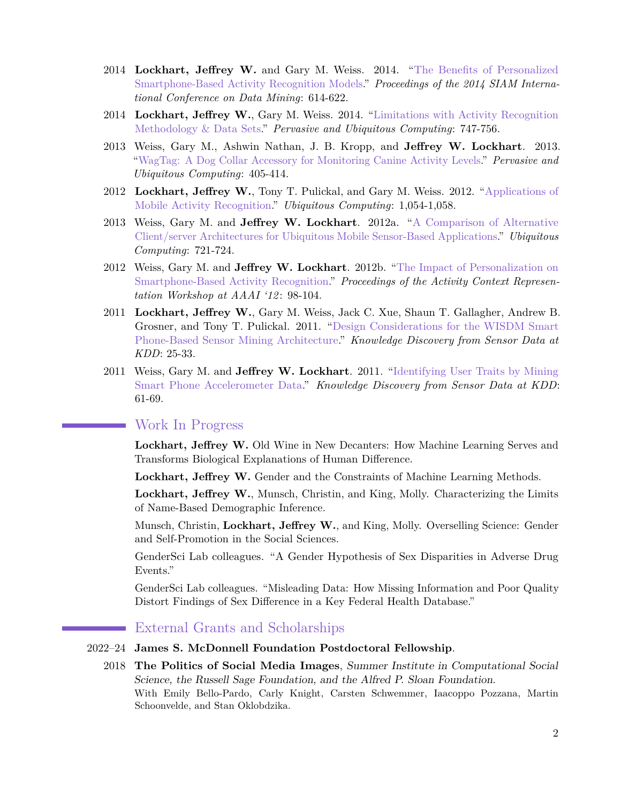- 2014 **Lockhart, Jeffrey W.** and Gary M. Weiss. 2014. ["The Benefits of Personalized](http://storm.cis.fordham.edu/gweiss/papers/SIAM-2014.pdf) [Smartphone-Based Activity Recognition Models.](http://storm.cis.fordham.edu/gweiss/papers/SIAM-2014.pdf)" *Proceedings of the 2014 SIAM International Conference on Data Mining*: 614-622.
- 2014 **Lockhart, Jeffrey W.**, Gary M. Weiss. 2014. ["Limitations with Activity Recognition](http://dl.acm.org/citation.cfm?id=2641306) [Methodology & Data Sets.](http://dl.acm.org/citation.cfm?id=2641306)" *Pervasive and Ubiquitous Computing*: 747-756.
- 2013 Weiss, Gary M., Ashwin Nathan, J. B. Kropp, and **Jeffrey W. Lockhart**. 2013. ["WagTag: A Dog Collar Accessory for Monitoring Canine Activity Levels.](http://storm.cis.fordham.edu/~gweiss/papers/asga-ubicomp13.pdf)" *Pervasive and Ubiquitous Computing*: 405-414.
- 2012 **Lockhart, Jeffrey W.**, Tony T. Pulickal, and Gary M. Weiss. 2012. ["Applications of](http://storm.cis.fordham.edu/gweiss/papers/ubicomp-2012-sagaware.pdf) [Mobile Activity Recognition."](http://storm.cis.fordham.edu/gweiss/papers/ubicomp-2012-sagaware.pdf) *Ubiquitous Computing*: 1,054-1,058.
- 2013 Weiss, Gary M. and **Jeffrey W. Lockhart**. 2012a. ["A Comparison of Alternative](http://storm.cis.fordham.edu/gweiss/papers/ubicomp-2012-ubimi.pdf) [Client/server Architectures for Ubiquitous Mobile Sensor-Based Applications.](http://storm.cis.fordham.edu/gweiss/papers/ubicomp-2012-ubimi.pdf)" *Ubiquitous Computing*: 721-724.
- 2012 Weiss, Gary M. and **Jeffrey W. Lockhart**. 2012b. ["The Impact of Personalization on](https://www.aaai.org/ocs/index.php/WS/AAAIW12/paper/view/5203/5564) [Smartphone-Based Activity Recognition.](https://www.aaai.org/ocs/index.php/WS/AAAIW12/paper/view/5203/5564)" *Proceedings of the Activity Context Representation Workshop at AAAI '12* : 98-104.
- 2011 **Lockhart, Jeffrey W.**, Gary M. Weiss, Jack C. Xue, Shaun T. Gallagher, Andrew B. Grosner, and Tony T. Pulickal. 2011. ["Design Considerations for the WISDM Smart](http://www.cis.fordham.edu/wisdm/public_files/Lockhart-Design-SensorKDD11.pdf) [Phone-Based Sensor Mining Architecture."](http://www.cis.fordham.edu/wisdm/public_files/Lockhart-Design-SensorKDD11.pdf) *Knowledge Discovery from Sensor Data at KDD*: 25-33.
- 2011 Weiss, Gary M. and **Jeffrey W. Lockhart**. 2011. ["Identifying User Traits by Mining](http://www.cis.fordham.edu/wisdm/public_files/SensorKDD11.pdf) [Smart Phone Accelerometer Data.](http://www.cis.fordham.edu/wisdm/public_files/SensorKDD11.pdf)" *Knowledge Discovery from Sensor Data at KDD*: 61-69.

# Work In Progress

**Lockhart, Jeffrey W.** Old Wine in New Decanters: How Machine Learning Serves and Transforms Biological Explanations of Human Difference.

**Lockhart, Jeffrey W.** Gender and the Constraints of Machine Learning Methods.

**Lockhart, Jeffrey W.**, Munsch, Christin, and King, Molly. Characterizing the Limits of Name-Based Demographic Inference.

Munsch, Christin, **Lockhart, Jeffrey W.**, and King, Molly. Overselling Science: Gender and Self-Promotion in the Social Sciences.

GenderSci Lab colleagues. "A Gender Hypothesis of Sex Disparities in Adverse Drug Events."

GenderSci Lab colleagues. "Misleading Data: How Missing Information and Poor Quality Distort Findings of Sex Difference in a Key Federal Health Database."

# External Grants and Scholarships

#### 2022–24 **James S. McDonnell Foundation Postdoctoral Fellowship**.

2018 **The Politics of Social Media Images**, Summer Institute in Computational Social Science, the Russell Sage Foundation, and the Alfred P. Sloan Foundation. With Emily Bello-Pardo, Carly Knight, Carsten Schwemmer, Iaacoppo Pozzana, Martin Schoonvelde, and Stan Oklobdzika.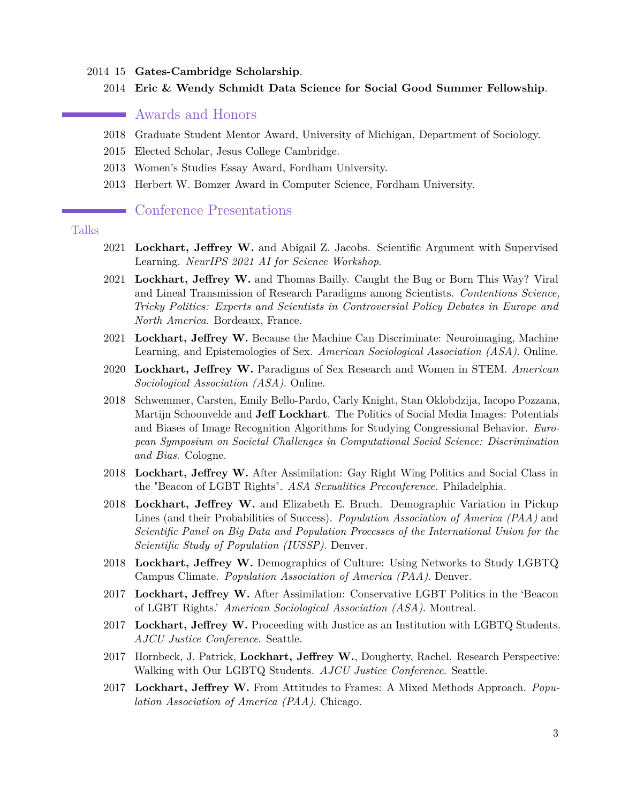- 2014–15 **Gates-Cambridge Scholarship**.
	- 2014 **Eric & Wendy Schmidt Data Science for Social Good Summer Fellowship**.

#### Awards and Honors

- 2018 Graduate Student Mentor Award, University of Michigan, Department of Sociology.
- 2015 Elected Scholar, Jesus College Cambridge.
- 2013 Women's Studies Essay Award, Fordham University.
- 2013 Herbert W. Bomzer Award in Computer Science, Fordham University.

#### Conference Presentations

### Talks

- 2021 **Lockhart, Jeffrey W.** and Abigail Z. Jacobs. Scientific Argument with Supervised Learning. *NeurIPS 2021 AI for Science Workshop*.
- 2021 **Lockhart, Jeffrey W.** and Thomas Bailly. Caught the Bug or Born This Way? Viral and Lineal Transmission of Research Paradigms among Scientists. *Contentious Science, Tricky Politics: Experts and Scientists in Controversial Policy Debates in Europe and North America*. Bordeaux, France.
- 2021 **Lockhart, Jeffrey W.** Because the Machine Can Discriminate: Neuroimaging, Machine Learning, and Epistemologies of Sex. *American Sociological Association (ASA)*. Online.
- 2020 **Lockhart, Jeffrey W.** Paradigms of Sex Research and Women in STEM. *American Sociological Association (ASA)*. Online.
- 2018 Schwemmer, Carsten, Emily Bello-Pardo, Carly Knight, Stan Oklobdzija, Iacopo Pozzana, Martijn Schoonvelde and **Jeff Lockhart**. The Politics of Social Media Images: Potentials and Biases of Image Recognition Algorithms for Studying Congressional Behavior. *European Symposium on Societal Challenges in Computational Social Science: Discrimination and Bias*. Cologne.
- 2018 **Lockhart, Jeffrey W.** After Assimilation: Gay Right Wing Politics and Social Class in the "Beacon of LGBT Rights". *ASA Sexualities Preconference*. Philadelphia.
- 2018 **Lockhart, Jeffrey W.** and Elizabeth E. Bruch. Demographic Variation in Pickup Lines (and their Probabilities of Success). *Population Association of America (PAA)* and *Scientific Panel on Big Data and Population Processes of the International Union for the Scientific Study of Population (IUSSP)*. Denver.
- 2018 **Lockhart, Jeffrey W.** Demographics of Culture: Using Networks to Study LGBTQ Campus Climate. *Population Association of America (PAA)*. Denver.
- 2017 **Lockhart, Jeffrey W.** After Assimilation: Conservative LGBT Politics in the 'Beacon of LGBT Rights.' *American Sociological Association (ASA)*. Montreal.
- 2017 **Lockhart, Jeffrey W.** Proceeding with Justice as an Institution with LGBTQ Students. *AJCU Justice Conference*. Seattle.
- 2017 Hornbeck, J. Patrick, **Lockhart, Jeffrey W.**, Dougherty, Rachel. Research Perspective: Walking with Our LGBTQ Students. *AJCU Justice Conference*. Seattle.
- 2017 **Lockhart, Jeffrey W.** From Attitudes to Frames: A Mixed Methods Approach. *Population Association of America (PAA)*. Chicago.